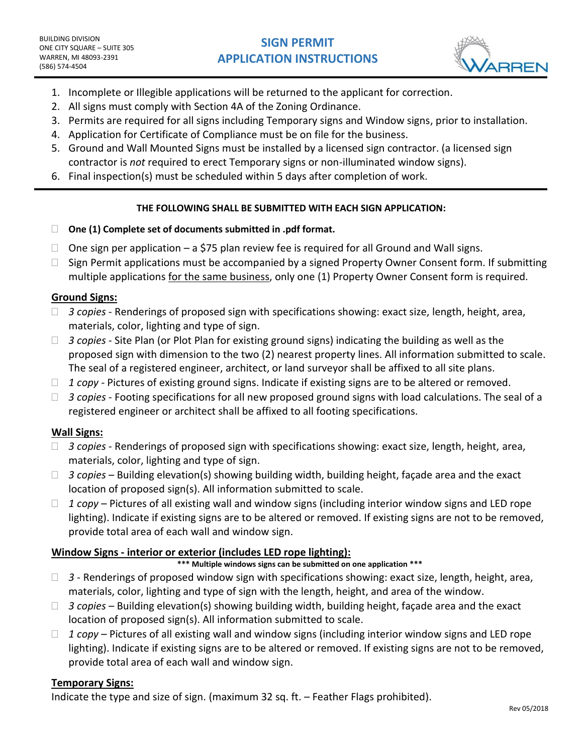# **SIGN PERMIT APPLICATION INSTRUCTIONS**



- 1. Incomplete or Illegible applications will be returned to the applicant for correction.
- 2. All signs must comply with Section 4A of the Zoning Ordinance.
- 3. Permits are required for all signs including Temporary signs and Window signs, prior to installation.
- 4. Application for Certificate of Compliance must be on file for the business.
- 5. Ground and Wall Mounted Signs must be installed by a licensed sign contractor. (a licensed sign contractor is *not* required to erect Temporary signs or non-illuminated window signs).
- 6. Final inspection(s) must be scheduled within 5 days after completion of work.

#### **THE FOLLOWING SHALL BE SUBMITTED WITH EACH SIGN APPLICATION:**

- **One (1) Complete set of documents submitted in .pdf format.**
- $\Box$  One sign per application a \$75 plan review fee is required for all Ground and Wall signs.
- $\Box$  Sign Permit applications must be accompanied by a signed Property Owner Consent form. If submitting multiple applications for the same business, only one (1) Property Owner Consent form is required.

## **Ground Signs:**

- □ 3 copies Renderings of proposed sign with specifications showing: exact size, length, height, area, materials, color, lighting and type of sign.
- □ 3 copies Site Plan (or Plot Plan for existing ground signs) indicating the building as well as the proposed sign with dimension to the two (2) nearest property lines. All information submitted to scale. The seal of a registered engineer, architect, or land surveyor shall be affixed to all site plans.
- *1 copy -* Pictures of existing ground signs. Indicate if existing signs are to be altered or removed.
- □ 3 copies Footing specifications for all new proposed ground signs with load calculations. The seal of a registered engineer or architect shall be affixed to all footing specifications.

## **Wall Signs:**

- *3 copies*  Renderings of proposed sign with specifications showing: exact size, length, height, area, materials, color, lighting and type of sign.
- *3 copies* Building elevation(s) showing building width, building height, façade area and the exact location of proposed sign(s). All information submitted to scale.
- *1 copy* Pictures of all existing wall and window signs (including interior window signs and LED rope lighting). Indicate if existing signs are to be altered or removed. If existing signs are not to be removed, provide total area of each wall and window sign.

## **Window Signs - interior or exterior (includes LED rope lighting):**

#### **\*\*\* Multiple windows signs can be submitted on one application \*\*\***

- □ 3 Renderings of proposed window sign with specifications showing: exact size, length, height, area, materials, color, lighting and type of sign with the length, height, and area of the window.
- *3 copies* Building elevation(s) showing building width, building height, façade area and the exact location of proposed sign(s). All information submitted to scale.
- *1 copy* Pictures of all existing wall and window signs (including interior window signs and LED rope lighting). Indicate if existing signs are to be altered or removed. If existing signs are not to be removed, provide total area of each wall and window sign.

## **Temporary Signs:**

Indicate the type and size of sign. (maximum 32 sq. ft. – Feather Flags prohibited).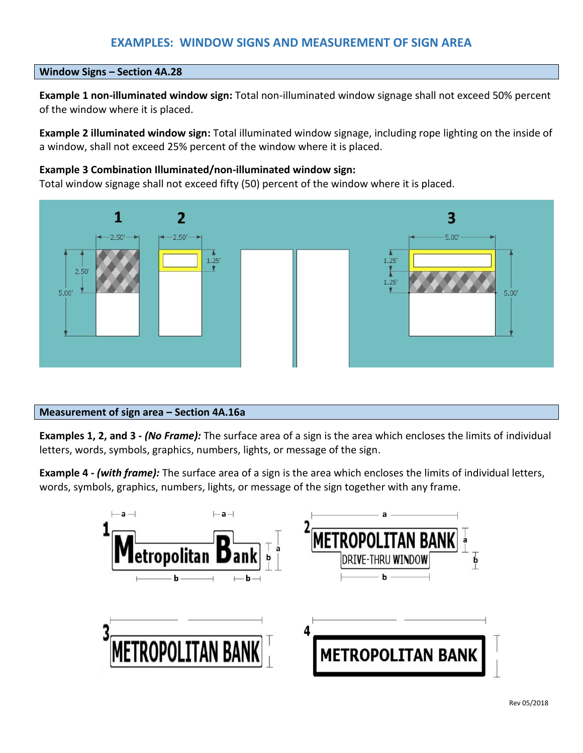## **EXAMPLES: WINDOW SIGNS AND MEASUREMENT OF SIGN AREA**

#### **Window Signs – Section 4A.28**

**Example 1 non-illuminated window sign:** Total non-illuminated window signage shall not exceed 50% percent of the window where it is placed.

**Example 2 illuminated window sign:** Total illuminated window signage, including rope lighting on the inside of a window, shall not exceed 25% percent of the window where it is placed.

#### **Example 3 Combination Illuminated/non-illuminated window sign:**

Total window signage shall not exceed fifty (50) percent of the window where it is placed.



#### **Measurement of sign area – Section 4A.16a**

**Examples 1, 2, and 3 -** *(No Frame):* The surface area of a sign is the area which encloses the limits of individual letters, words, symbols, graphics, numbers, lights, or message of the sign.

**Example 4 -** *(with frame):* The surface area of a sign is the area which encloses the limits of individual letters, words, symbols, graphics, numbers, lights, or message of the sign together with any frame.

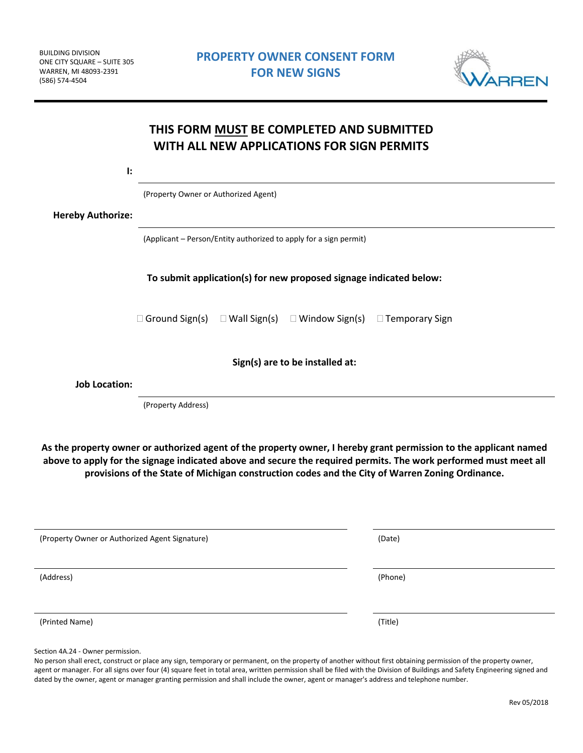

| $\mathbf{E}$             |                                                                                       |  |  |  |  |  |
|--------------------------|---------------------------------------------------------------------------------------|--|--|--|--|--|
|                          | (Property Owner or Authorized Agent)                                                  |  |  |  |  |  |
| <b>Hereby Authorize:</b> |                                                                                       |  |  |  |  |  |
|                          | (Applicant - Person/Entity authorized to apply for a sign permit)                     |  |  |  |  |  |
|                          | To submit application(s) for new proposed signage indicated below:                    |  |  |  |  |  |
|                          | $\Box$ Ground Sign(s) $\Box$ Wall Sign(s) $\Box$ Window Sign(s) $\Box$ Temporary Sign |  |  |  |  |  |
|                          | Sign(s) are to be installed at:                                                       |  |  |  |  |  |
| <b>Job Location:</b>     |                                                                                       |  |  |  |  |  |
|                          | (Property Address)                                                                    |  |  |  |  |  |

**As the property owner or authorized agent of the property owner, I hereby grant permission to the applicant named above to apply for the signage indicated above and secure the required permits. The work performed must meet all provisions of the State of Michigan construction codes and the City of Warren Zoning Ordinance.**

| (Property Owner or Authorized Agent Signature) | (Date)  |  |  |
|------------------------------------------------|---------|--|--|
| (Address)                                      | (Phone) |  |  |
| (Printed Name)                                 | (Title) |  |  |

Section 4A.24 - Owner permission.

No person shall erect, construct or place any sign, temporary or permanent, on the property of another without first obtaining permission of the property owner, agent or manager. For all signs over four (4) square feet in total area, written permission shall be filed with the Division of Buildings and Safety Engineering signed and dated by the owner, agent or manager granting permission and shall include the owner, agent or manager's address and telephone number.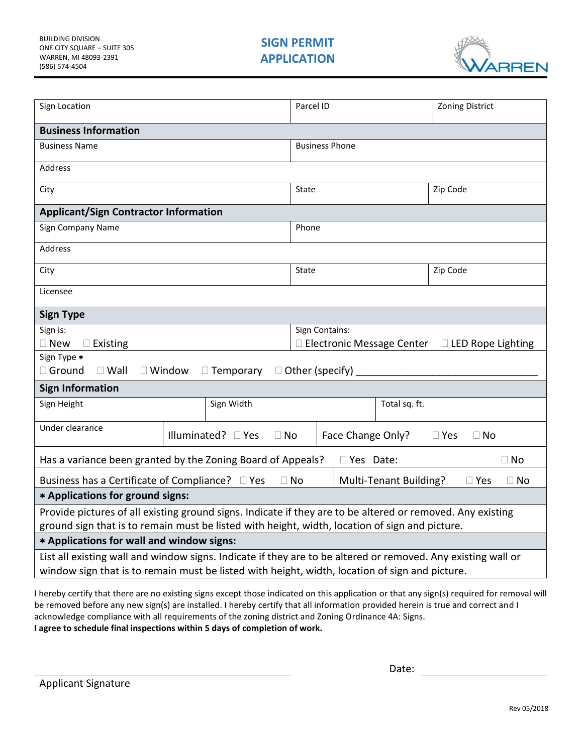

| Sign Location                                                                                                |                  | Parcel ID                                                                       |                                                         |                        | <b>Zoning District</b> |           |  |  |
|--------------------------------------------------------------------------------------------------------------|------------------|---------------------------------------------------------------------------------|---------------------------------------------------------|------------------------|------------------------|-----------|--|--|
| <b>Business Information</b>                                                                                  |                  |                                                                                 |                                                         |                        |                        |           |  |  |
| <b>Business Name</b>                                                                                         |                  |                                                                                 | <b>Business Phone</b>                                   |                        |                        |           |  |  |
| Address                                                                                                      |                  |                                                                                 |                                                         |                        |                        |           |  |  |
| City                                                                                                         |                  |                                                                                 | State                                                   |                        |                        | Zip Code  |  |  |
| <b>Applicant/Sign Contractor Information</b>                                                                 |                  |                                                                                 |                                                         |                        |                        |           |  |  |
| Sign Company Name                                                                                            |                  |                                                                                 | Phone                                                   |                        |                        |           |  |  |
| Address                                                                                                      |                  |                                                                                 |                                                         |                        |                        |           |  |  |
| City                                                                                                         |                  |                                                                                 | State                                                   |                        |                        | Zip Code  |  |  |
| Licensee                                                                                                     |                  |                                                                                 |                                                         |                        |                        |           |  |  |
| <b>Sign Type</b>                                                                                             |                  |                                                                                 |                                                         |                        |                        |           |  |  |
| Sign is:                                                                                                     |                  |                                                                                 | Sign Contains:                                          |                        |                        |           |  |  |
| $\square$ New<br>$\square$ Existing                                                                          |                  |                                                                                 | □ Electronic Message Center<br>$\Box$ LED Rope Lighting |                        |                        |           |  |  |
| Sign Type *                                                                                                  |                  |                                                                                 |                                                         |                        |                        |           |  |  |
| Ground<br>$\Box$ Wall                                                                                        | $\square$ Window | $\Box$ Temporary                                                                |                                                         | $\Box$ Other (specify) |                        |           |  |  |
| <b>Sign Information</b>                                                                                      |                  |                                                                                 |                                                         |                        |                        |           |  |  |
| Sign Height                                                                                                  | Sign Width       |                                                                                 | Total sq. ft.                                           |                        |                        |           |  |  |
| Under clearance                                                                                              |                  | Illuminated? □ Yes<br>Face Change Only?<br>$\Box$ No<br>$\Box$ Yes<br>$\Box$ No |                                                         |                        |                        |           |  |  |
| Has a variance been granted by the Zoning Board of Appeals?<br>$\Box$ No<br>$\Box$ Yes Date:                 |                  |                                                                                 |                                                         |                        |                        |           |  |  |
| Business has a Certificate of Compliance? □ Yes<br>$\Box$ No<br>Multi-Tenant Building?<br>$\square$ Yes      |                  |                                                                                 |                                                         |                        |                        | $\Box$ No |  |  |
| * Applications for ground signs:                                                                             |                  |                                                                                 |                                                         |                        |                        |           |  |  |
| Provide pictures of all existing ground signs. Indicate if they are to be altered or removed. Any existing   |                  |                                                                                 |                                                         |                        |                        |           |  |  |
| ground sign that is to remain must be listed with height, width, location of sign and picture.               |                  |                                                                                 |                                                         |                        |                        |           |  |  |
| * Applications for wall and window signs:                                                                    |                  |                                                                                 |                                                         |                        |                        |           |  |  |
| List all existing wall and window signs. Indicate if they are to be altered or removed. Any existing wall or |                  |                                                                                 |                                                         |                        |                        |           |  |  |
| window sign that is to remain must be listed with height, width, location of sign and picture.               |                  |                                                                                 |                                                         |                        |                        |           |  |  |

I hereby certify that there are no existing signs except those indicated on this application or that any sign(s) required for removal will be removed before any new sign(s) are installed. I hereby certify that all information provided herein is true and correct and I acknowledge compliance with all requirements of the zoning district and Zoning Ordinance 4A: Signs. **I agree to schedule final inspections within 5 days of completion of work.**

Applicant Signature

Date: